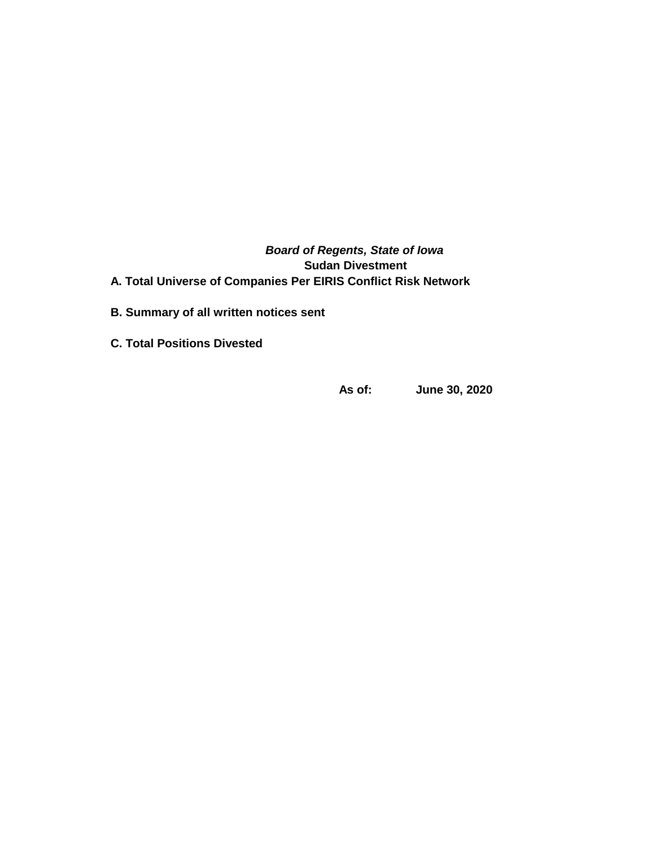*Board of Regents, State of Iowa* **Sudan Divestment A. Total Universe of Companies Per EIRIS Conflict Risk Network** 

- **B. Summary of all written notices sent**
- **C. Total Positions Divested**

**As of: June 30, 2020**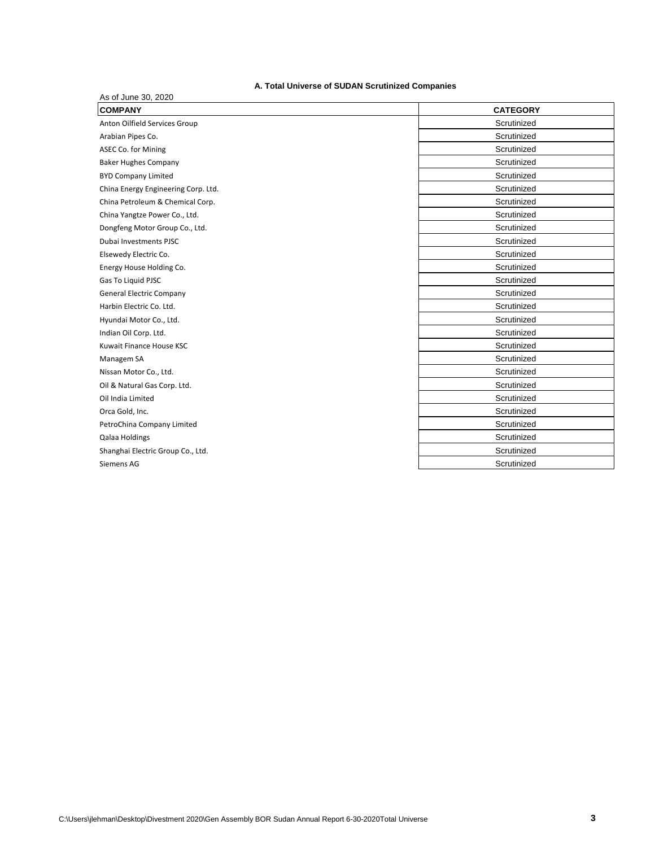# **A. Total Universe of SUDAN Scrutinized Companies**

| As of June 30, 2020                 |                 |  |  |  |  |
|-------------------------------------|-----------------|--|--|--|--|
| <b>COMPANY</b>                      | <b>CATEGORY</b> |  |  |  |  |
| Anton Oilfield Services Group       | Scrutinized     |  |  |  |  |
| Arabian Pipes Co.                   | Scrutinized     |  |  |  |  |
| ASEC Co. for Mining                 | Scrutinized     |  |  |  |  |
| <b>Baker Hughes Company</b>         | Scrutinized     |  |  |  |  |
| <b>BYD Company Limited</b>          | Scrutinized     |  |  |  |  |
| China Energy Engineering Corp. Ltd. | Scrutinized     |  |  |  |  |
| China Petroleum & Chemical Corp.    | Scrutinized     |  |  |  |  |
| China Yangtze Power Co., Ltd.       | Scrutinized     |  |  |  |  |
| Dongfeng Motor Group Co., Ltd.      | Scrutinized     |  |  |  |  |
| Dubai Investments PJSC              | Scrutinized     |  |  |  |  |
| Elsewedy Electric Co.               | Scrutinized     |  |  |  |  |
| Energy House Holding Co.            | Scrutinized     |  |  |  |  |
| Gas To Liguid PJSC                  | Scrutinized     |  |  |  |  |
| <b>General Electric Company</b>     | Scrutinized     |  |  |  |  |
| Harbin Electric Co. Ltd.            | Scrutinized     |  |  |  |  |
| Hyundai Motor Co., Ltd.             | Scrutinized     |  |  |  |  |
| Indian Oil Corp. Ltd.               | Scrutinized     |  |  |  |  |
| Kuwait Finance House KSC            | Scrutinized     |  |  |  |  |
| Managem SA                          | Scrutinized     |  |  |  |  |
| Nissan Motor Co., Ltd.              | Scrutinized     |  |  |  |  |
| Oil & Natural Gas Corp. Ltd.        | Scrutinized     |  |  |  |  |
| Oil India Limited                   | Scrutinized     |  |  |  |  |
| Orca Gold, Inc.                     | Scrutinized     |  |  |  |  |
| PetroChina Company Limited          | Scrutinized     |  |  |  |  |
| Qalaa Holdings                      | Scrutinized     |  |  |  |  |
| Shanghai Electric Group Co., Ltd.   | Scrutinized     |  |  |  |  |
| Siemens AG                          | Scrutinized     |  |  |  |  |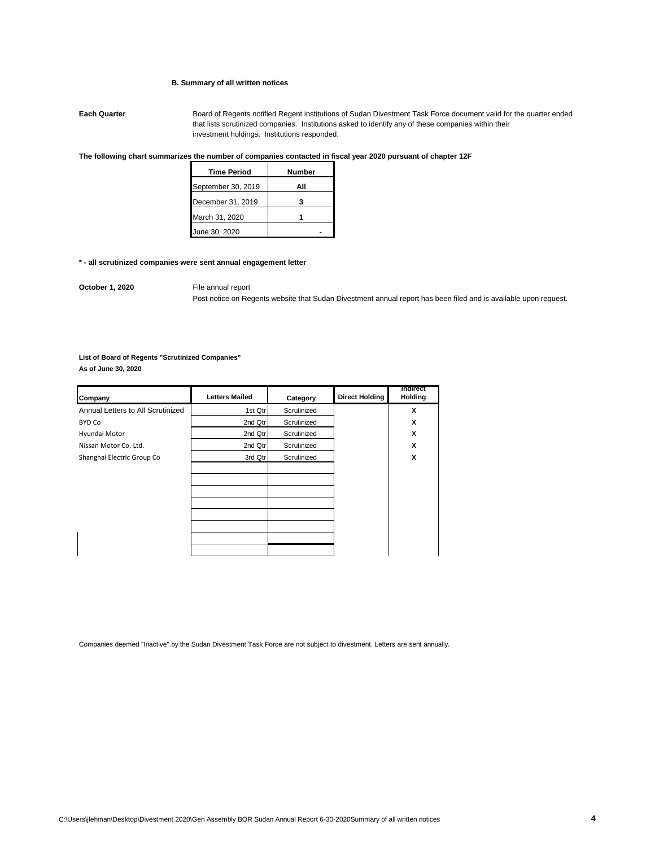## **B. Summary of all written notices**

**Each Quarter** Board of Regents notified Regent institutions of Sudan Divestment Task Force document valid for the quarter ended that lists scrutinized companies. Institutions asked to identify any of these companies within their investment holdings. Institutions responded.

# **The following chart summarizes the number of companies contacted in fiscal year 2020 pursuant of chapter 12F**

| <b>Time Period</b> | Number |
|--------------------|--------|
| September 30, 2019 | Αll    |
| December 31, 2019  |        |
| March 31, 2020     |        |
| June 30, 2020      |        |

#### **\* - all scrutinized companies were sent annual engagement letter**

**October 1, 2020** File annual report

Post notice on Regents website that Sudan Divestment annual report has been filed and is available upon request.

# **List of Board of Regents "Scrutinized Companies"**

**As of June 30, 2020**

| Company                           | <b>Letters Mailed</b> | Category    | <b>Direct Holding</b> | <b>Indirect</b><br>Holding |
|-----------------------------------|-----------------------|-------------|-----------------------|----------------------------|
| Annual Letters to All Scrutinized | 1st Qtr               | Scrutinized |                       | X                          |
| BYD Co                            | 2nd Qtr               | Scrutinized |                       | X                          |
| Hyundai Motor                     | 2nd Qtr               | Scrutinized |                       | X                          |
| Nissan Motor Co. Ltd.             | 2nd Qtr               | Scrutinized |                       | X                          |
| Shanghai Electric Group Co        | 3rd Qtr               | Scrutinized |                       | X                          |
|                                   |                       |             |                       |                            |
|                                   |                       |             |                       |                            |
|                                   |                       |             |                       |                            |
|                                   |                       |             |                       |                            |
|                                   |                       |             |                       |                            |
|                                   |                       |             |                       |                            |
|                                   |                       |             |                       |                            |
|                                   |                       |             |                       |                            |

Companies deemed "Inactive" by the Sudan Divestment Task Force are not subject to divestment. Letters are sent annually.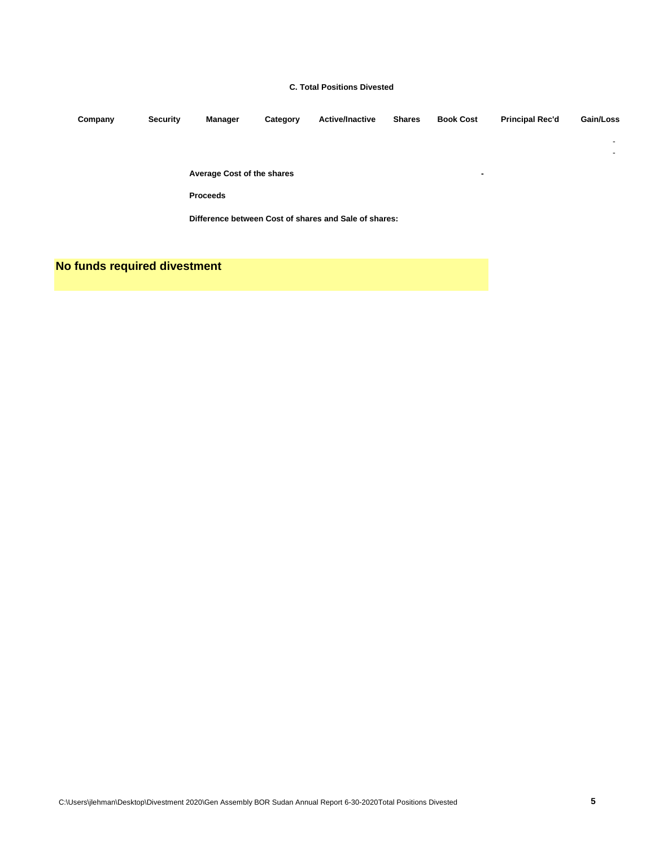## **C. Total Positions Divested**

| Company | <b>Security</b> | Manager                           | Category | <b>Active/Inactive</b>                                | <b>Shares</b> | <b>Book Cost</b> | <b>Principal Rec'd</b> | Gain/Loss |
|---------|-----------------|-----------------------------------|----------|-------------------------------------------------------|---------------|------------------|------------------------|-----------|
|         |                 |                                   |          |                                                       |               |                  |                        | ٠         |
|         |                 |                                   |          |                                                       |               |                  |                        | ۰         |
|         |                 | <b>Average Cost of the shares</b> |          |                                                       |               | ۰                |                        |           |
|         |                 | <b>Proceeds</b>                   |          |                                                       |               |                  |                        |           |
|         |                 |                                   |          | Difference between Cost of shares and Sale of shares: |               |                  |                        |           |

**No funds required divestment**